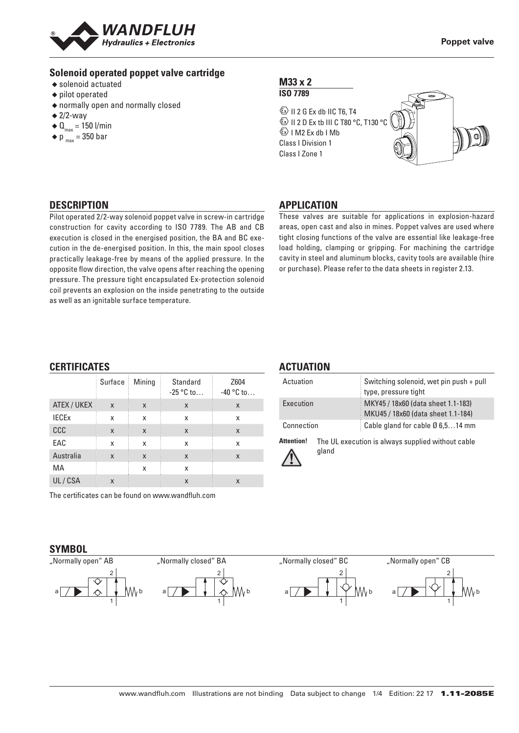

#### **Solenoid operated poppet valve cartridge**

- ◆ solenoid actuated
- ◆ pilot operated
- ◆ normally open and normally closed
- $\triangleq$  2/2-way
- $\triangleleft$  Q<sub>max</sub> = 150 l/min
- $\bullet$  p  $_{\text{max}}$  = 350 bar

#### **M33 x 2 ISO 7789**

 $\textcircled{k}$  II 2 G Ex db IIC T6, T4 **ED II 2 D Ex tb III C T80 °C, T130 °C**  $\&$  I M2 Ex db I Mb Class I Division 1 Class I Zone 1



### **DESCRIPTION**

Pilot operated 2/2-way solenoid poppet valve in screw-in cartridge construction for cavity according to ISO 7789. The AB and CB execution is closed in the energised position, the BA and BC execution in the de-energised position. In this, the main spool closes practically leakage-free by means of the applied pressure. In the opposite flow direction, the valve opens after reaching the opening pressure. The pressure tight encapsulated Ex-protection solenoid coil prevents an explosion on the inside penetrating to the outside as well as an ignitable surface temperature.

#### **APPLICATION**

These valves are suitable for applications in explosion-hazard areas, open cast and also in mines. Poppet valves are used where tight closing functions of the valve are essential like leakage-free load holding, clamping or gripping. For machining the cartridge cavity in steel and aluminum blocks, cavity tools are available (hire or purchase). Please refer to the data sheets in register 2.13.

#### **CERTIFICATES**

**SYMBOL** "Normally open" AB

|              | Surface | Mining | Standard<br>$-25 °C$ to | Z604<br>$-40$ °C to |
|--------------|---------|--------|-------------------------|---------------------|
| ATEX / UKEX  | X       | X      | X                       | X                   |
| <b>IECEX</b> | x       | X      | X                       | X                   |
| <b>CCC</b>   | X       | X      | X                       | X                   |
| EAC          | x       | x      | X                       | X                   |
| Australia    | X       | X      | X                       | X                   |
| МA           |         | x      | X                       |                     |
| UL/CSA       | X       |        | X                       | X                   |

"Normally closed" BA

2

1  $a \mid / \blacktriangleright \mid \downarrow \mid \wedge \textsf{M} \wedge \textsf{b}$ 

The certificates can be found on www.wandfluh.com

2

1 a b

#### **ACTUATION**

| Actuation  | Switching solenoid, wet pin push + pull<br>type, pressure tight          |
|------------|--------------------------------------------------------------------------|
| Execution  | MKY45 / 18x60 (data sheet 1.1-183)<br>MKU45 / 18x60 (data sheet 1.1-184) |
| Connection | Cable gland for cable $\varnothing$ 6,514 mm                             |

**Attention!** The UL execution is always supplied without cable gland



"Normally closed" BC 2 1  $a \mid / \blacktriangleright \mid \downarrow \mid \curlyvee \textsf{WW}$ 

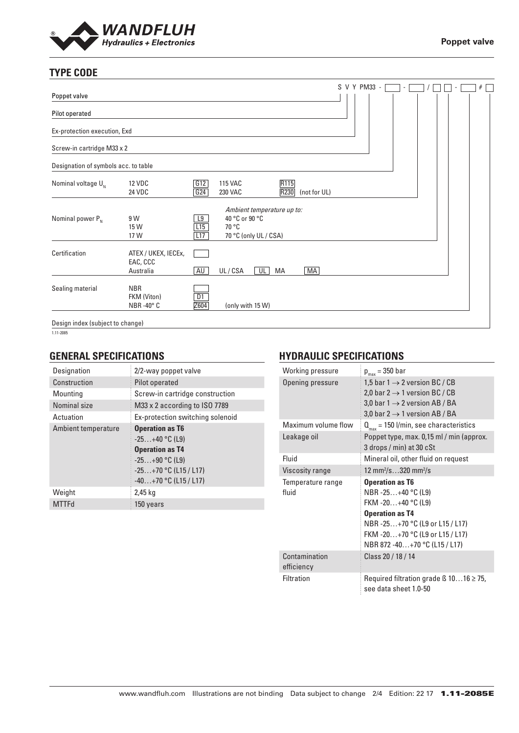

# **TYPE CODE**

|                                      |                                                 |            |                           |                            |              |              |  | S V Y PM33 - |  |  |  | # |
|--------------------------------------|-------------------------------------------------|------------|---------------------------|----------------------------|--------------|--------------|--|--------------|--|--|--|---|
| Poppet valve                         |                                                 |            |                           |                            |              |              |  |              |  |  |  |   |
| Pilot operated                       |                                                 |            |                           |                            |              |              |  |              |  |  |  |   |
| Ex-protection execution, Exd         |                                                 |            |                           |                            |              |              |  |              |  |  |  |   |
| Screw-in cartridge M33 x 2           |                                                 |            |                           |                            |              |              |  |              |  |  |  |   |
| Designation of symbols acc. to table |                                                 |            |                           |                            |              |              |  |              |  |  |  |   |
| Nominal voltage $U_{N}$              | <b>12 VDC</b><br><b>24 VDC</b>                  | G12<br>G24 | <b>115 VAC</b><br>230 VAC |                            | R115<br>R230 | (not for UL) |  |              |  |  |  |   |
| Nominal power $P_{N}$                | 9 W<br>15 W                                     | L9<br>L15  | 40 °C or 90 °C<br>70 °C   | Ambient temperature up to: |              |              |  |              |  |  |  |   |
|                                      | 17 W                                            | L17        |                           | 70 °C (only UL / CSA)      |              |              |  |              |  |  |  |   |
| Certification                        | ATEX / UKEX, IECEx,<br>EAC, CCC<br>Australia    | <b>AU</b>  | UL/CSA                    | $\overline{\mathsf{CL}}$   | MA           | MA           |  |              |  |  |  |   |
| Sealing material                     | <b>NBR</b><br>FKM (Viton)<br>NBR-40 $\degree$ C | D1<br>Z604 |                           | (only with 15 W)           |              |              |  |              |  |  |  |   |
| Design index (subject to change)     |                                                 |            |                           |                            |              |              |  |              |  |  |  |   |

1.11-2085

### **GENERAL SPECIFICATIONS**

| Designation         | 2/2-way poppet valve                                                                                                                           |
|---------------------|------------------------------------------------------------------------------------------------------------------------------------------------|
| Construction        | Pilot operated                                                                                                                                 |
| Mounting            | Screw-in cartridge construction                                                                                                                |
| Nominal size        | M33 x 2 according to ISO 7789                                                                                                                  |
| Actuation           | Ex-protection switching solenoid                                                                                                               |
| Ambient temperature | <b>Operation as T6</b><br>$-25+40$ °C (L9)<br><b>Operation as T4</b><br>$-25+90$ °C (L9)<br>$-25+70$ °C (L15 / L17)<br>$-40+70$ °C (L15 / L17) |
| Weight              | 2,45 kg                                                                                                                                        |
| <b>MTTFd</b>        | 150 years                                                                                                                                      |

# **HYDRAULIC SPECIFICATIONS**

| Working pressure            | $p_{max}$ = 350 bar                                                                                                                                                              |
|-----------------------------|----------------------------------------------------------------------------------------------------------------------------------------------------------------------------------|
| Opening pressure            | 1,5 bar 1 $\rightarrow$ 2 version BC / CB<br>2,0 bar 2 $\rightarrow$ 1 version BC / CB<br>3,0 bar 1 $\rightarrow$ 2 version AB / BA<br>3,0 bar 2 $\rightarrow$ 1 version AB / BA |
| Maximum volume flow         | $Q_{\text{max}}$ = 150 l/min, see characteristics                                                                                                                                |
| Leakage oil                 | Poppet type, max. 0,15 ml / min (approx.<br>3 drops / min) at 30 cSt                                                                                                             |
| Fluid                       | Mineral oil, other fluid on request                                                                                                                                              |
| Viscosity range             | 12 mm <sup>2</sup> /s320 mm <sup>2</sup> /s                                                                                                                                      |
| Temperature range           | <b>Operation as T6</b>                                                                                                                                                           |
| fluid                       | NBR-25+40 °C (L9)<br>FKM -20+40 °C (L9)<br><b>Operation as T4</b><br>NBR-25+70 °C (L9 or L15 / L17)<br>FKM-20+70 °C (L9 or L15 / L17)<br>NBR 872 -40+70 °C (L15 / L17)           |
| Contamination<br>efficiency | Class 20 / 18 / 14                                                                                                                                                               |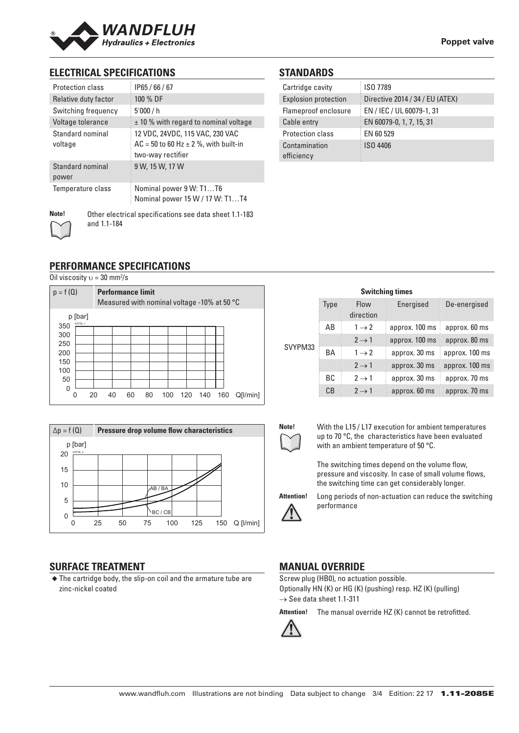

### **ELECTRICAL SPECIFICATIONS**

| <b>Protection class</b>     | IP65/66/67                                                                                          |
|-----------------------------|-----------------------------------------------------------------------------------------------------|
| Relative duty factor        | 100 % DF                                                                                            |
| Switching frequency         | 5'000/h                                                                                             |
| Voltage tolerance           | $\pm$ 10 % with regard to nominal voltage                                                           |
| Standard nominal<br>voltage | 12 VDC, 24VDC, 115 VAC, 230 VAC<br>$AC = 50$ to 60 Hz $\pm$ 2 %, with built-in<br>two-way rectifier |
| Standard nominal<br>power   | 9 W, 15 W, 17 W                                                                                     |
| Temperature class           | Nominal power 9 W: T1T6<br>Nominal power 15 W / 17 W: T1T4                                          |
| Note!                       | Other electrical specifications see data sheet 1.1-183                                              |

#### **STANDARDS**

| Cartridge cavity            | ISO 7789                        |
|-----------------------------|---------------------------------|
| <b>Explosion protection</b> | Directive 2014 / 34 / EU (ATEX) |
| Flameproof enclosure        | EN / IEC / UL 60079-1, 31       |
| Cable entry                 | EN 60079-0, 1, 7, 15, 31        |
| <b>Protection class</b>     | EN 60 529                       |
| Contamination<br>efficiency | ISO 4406                        |

# **PERFORMANCE SPECIFICATIONS**

and 1.1-184

Oil viscosity  $v = 30$  mm<sup>2</sup>/s





# **SURFACE TREATMENT**

◆ The cartridge body, the slip-on coil and the armature tube are zinc-nickel coated

| <b>Switching times</b> |           |                   |                |                |  |  |  |
|------------------------|-----------|-------------------|----------------|----------------|--|--|--|
|                        | Type      | Flow<br>direction | Energised      | De-energised   |  |  |  |
|                        | AB        | $1 \rightarrow 2$ | approx. 100 ms | approx. 60 ms  |  |  |  |
|                        |           | $2 \rightarrow 1$ | approx. 100 ms | approx. 80 ms  |  |  |  |
| SVYPM33                | BA        | $1 \rightarrow 2$ | approx. 30 ms  | approx. 100 ms |  |  |  |
|                        |           | $2 \rightarrow 1$ | approx. 30 ms  | approx. 100 ms |  |  |  |
|                        | <b>BC</b> | $2 \rightarrow 1$ | approx. 30 ms  | approx. 70 ms  |  |  |  |
|                        | CB        | $2 \rightarrow 1$ | approx. 60 ms  | approx. 70 ms  |  |  |  |



**Note!** With the L15 / L17 execution for ambient temperatures up to 70 °C, the characteristics have been evaluated with an ambient temperature of 50 °C.

> The switching times depend on the volume flow, pressure and viscosity. In case of small volume flows, the switching time can get considerably longer.



**Attention!** Long periods of non-actuation can reduce the switching performance

# **MANUAL OVERRIDE**

Screw plug (HB0), no actuation possible. Optionally HN (K) or HG (K) (pushing) resp. HZ (K) (pulling)  $\rightarrow$  See data sheet 1.1-311

**Attention!** The manual override HZ (K) cannot be retrofitted.